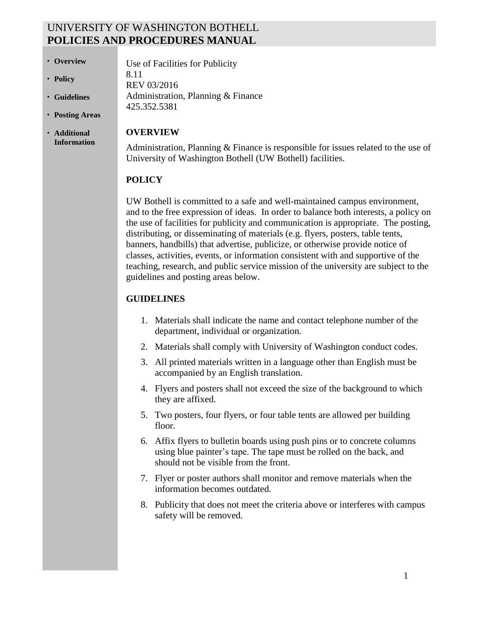## UNIVERSITY OF WASHINGTON BOTHELL **POLICIES AND PROCEDURES MANUAL**

8.11

Use of Facilities for Publicity

Administration, Planning & Finance

- **•** Overview
- **Policy**
- **Guidelines**
- **Posting Areas**
- **Additional Information**

#### **OVERVIEW**

REV 03/2016

425.352.5381

Administration, Planning & Finance is responsible for issues related to the use of University of Washington Bothell (UW Bothell) facilities.

### **POLICY**

UW Bothell is committed to a safe and well-maintained campus environment, and to the free expression of ideas. In order to balance both interests, a policy on the use of facilities for publicity and communication is appropriate. The posting, distributing, or disseminating of materials (e.g. flyers, posters, table tents, banners, handbills) that advertise, publicize, or otherwise provide notice of classes, activities, events, or information consistent with and supportive of the teaching, research, and public service mission of the university are subject to the guidelines and posting areas below.

### **GUIDELINES**

- 1. Materials shall indicate the name and contact telephone number of the department, individual or organization.
- 2. Materials shall comply with University of Washington conduct codes.
- 3. All printed materials written in a language other than English must be accompanied by an English translation.
- 4. Flyers and posters shall not exceed the size of the background to which they are affixed.
- 5. Two posters, four flyers, or four table tents are allowed per building floor.
- 6. Affix flyers to bulletin boards using push pins or to concrete columns using blue painter's tape. The tape must be rolled on the back, and should not be visible from the front.
- 7. Flyer or poster authors shall monitor and remove materials when the information becomes outdated.
- 8. Publicity that does not meet the criteria above or interferes with campus safety will be removed.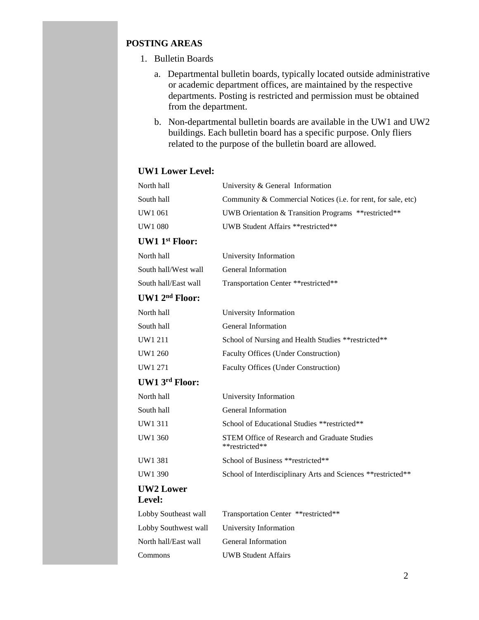### **POSTING AREAS**

- 1. Bulletin Boards
	- a. Departmental bulletin boards, typically located outside administrative or academic department offices, are maintained by the respective departments. Posting is restricted and permission must be obtained from the department.
	- b. Non-departmental bulletin boards are available in the UW1 and UW2 buildings. Each bulletin board has a specific purpose. Only fliers related to the purpose of the bulletin board are allowed.

#### **UW1 Lower Level:**

| North hall                 | University & General Information                                      |  |
|----------------------------|-----------------------------------------------------------------------|--|
| South hall                 | Community & Commercial Notices (i.e. for rent, for sale, etc)         |  |
| <b>UW1 061</b>             | UWB Orientation & Transition Programs ** restricted**                 |  |
| <b>UW1 080</b>             | UWB Student Affairs ** restricted**                                   |  |
| <b>UW1 1st Floor:</b>      |                                                                       |  |
| North hall                 | University Information                                                |  |
| South hall/West wall       | General Information                                                   |  |
| South hall/East wall       | Transportation Center ** restricted**                                 |  |
| UW1 2 <sup>nd</sup> Floor: |                                                                       |  |
| North hall                 | University Information                                                |  |
| South hall                 | General Information                                                   |  |
| UW1 211                    | School of Nursing and Health Studies ** restricted**                  |  |
| UW1 260                    | <b>Faculty Offices (Under Construction)</b>                           |  |
| UW1 271                    | <b>Faculty Offices (Under Construction)</b>                           |  |
| UW1 3rd Floor:             |                                                                       |  |
| North hall                 | University Information                                                |  |
| South hall                 | General Information                                                   |  |
| UW1 311                    | School of Educational Studies ** restricted**                         |  |
| UW1 360                    | <b>STEM Office of Research and Graduate Studies</b><br>**restricted** |  |
| <b>UW1 381</b>             | School of Business ** restricted**                                    |  |
| UW1 390                    | School of Interdisciplinary Arts and Sciences ** restricted**         |  |
| <b>UW2 Lower</b><br>Level: |                                                                       |  |
| Lobby Southeast wall       | Transportation Center ** restricted**                                 |  |
| Lobby Southwest wall       | University Information                                                |  |

North hall/East wall General Information Commons UWB Student Affairs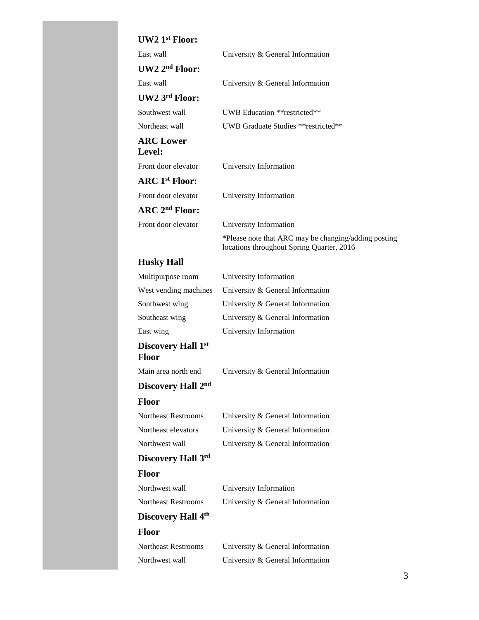# **UW2 1st Floor:**

| $UW21^{st}$ Floor:                |                                                                                                   |
|-----------------------------------|---------------------------------------------------------------------------------------------------|
| East wall                         | University & General Information                                                                  |
| UW2 2 <sup>nd</sup> Floor:        |                                                                                                   |
| East wall                         | University & General Information                                                                  |
| UW2 3rd Floor:                    |                                                                                                   |
| Southwest wall                    | UWB Education ** restricted **                                                                    |
| Northeast wall                    | UWB Graduate Studies ** restricted**                                                              |
| <b>ARC Lower</b><br>Level:        |                                                                                                   |
| Front door elevator               | University Information                                                                            |
| <b>ARC</b> 1 <sup>st</sup> Floor: |                                                                                                   |
| Front door elevator               | University Information                                                                            |
| $\rm{ARC}$ $\rm{2^{nd}}$ Floor:   |                                                                                                   |
| Front door elevator               | University Information                                                                            |
|                                   | *Please note that ARC may be changing/adding posting<br>locations throughout Spring Quarter, 2016 |
| <b>Husky Hall</b>                 |                                                                                                   |
| Multipurpose room                 | University Information                                                                            |
| West vending machines             | University & General Information                                                                  |
| Southwest wing                    | University & General Information                                                                  |
| Southeast wing                    | University & General Information                                                                  |
| East wing                         | University Information                                                                            |
| Discovery Hall 1st<br>Floor       |                                                                                                   |
| Main area north end               | University & General Information                                                                  |
| Discovery Hall 2nd                |                                                                                                   |
| <b>Floor</b>                      |                                                                                                   |
| <b>Northeast Restrooms</b>        | University & General Information                                                                  |
| Northeast elevators               | University & General Information                                                                  |
| Northwest wall                    | University & General Information                                                                  |
| Discovery Hall 3rd                |                                                                                                   |
| <b>Floor</b>                      |                                                                                                   |
| Northwest wall                    | University Information                                                                            |
| <b>Northeast Restrooms</b>        | University & General Information                                                                  |
| Discovery Hall 4th                |                                                                                                   |

## **Floor**

| Northeast Restrooms | University & General Information |
|---------------------|----------------------------------|
| Northwest wall      | University & General Information |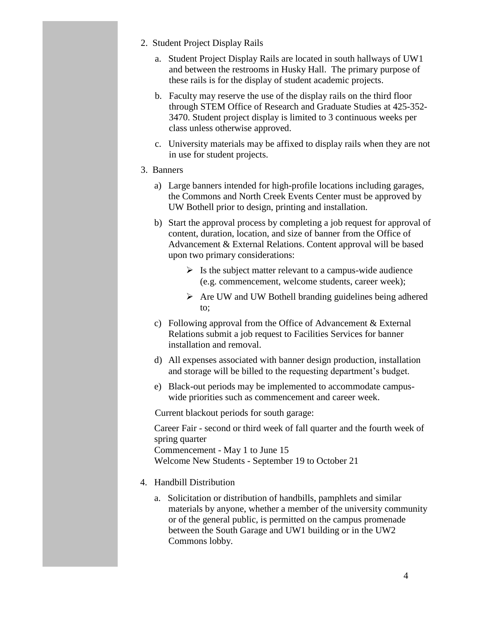- 2. Student Project Display Rails
	- a. Student Project Display Rails are located in south hallways of UW1 and between the restrooms in Husky Hall. The primary purpose of these rails is for the display of student academic projects.
	- b. Faculty may reserve the use of the display rails on the third floor through STEM Office of Research and Graduate Studies at 425-352- 3470. Student project display is limited to 3 continuous weeks per class unless otherwise approved.
	- c. University materials may be affixed to display rails when they are not in use for student projects.
- 3. Banners
	- a) Large banners intended for high-profile locations including garages, the Commons and North Creek Events Center must be approved by UW Bothell prior to design, printing and installation.
	- b) Start the approval process by completing a job request for approval of content, duration, location, and size of banner from the Office of Advancement & External Relations. Content approval will be based upon two primary considerations:
		- $\triangleright$  Is the subject matter relevant to a campus-wide audience (e.g. commencement, welcome students, career week);
		- $\triangleright$  Are UW and UW Bothell branding guidelines being adhered to;
	- c) Following approval from the Office of Advancement  $& External$ Relations submit a job request to Facilities Services for banner installation and removal.
	- d) All expenses associated with banner design production, installation and storage will be billed to the requesting department's budget.
	- e) Black-out periods may be implemented to accommodate campuswide priorities such as commencement and career week.

Current blackout periods for south garage:

Career Fair - second or third week of fall quarter and the fourth week of spring quarter Commencement - May 1 to June 15 Welcome New Students - September 19 to October 21

- 4. Handbill Distribution
	- a. Solicitation or distribution of handbills, pamphlets and similar materials by anyone, whether a member of the university community or of the general public, is permitted on the campus promenade between the South Garage and UW1 building or in the UW2 Commons lobby.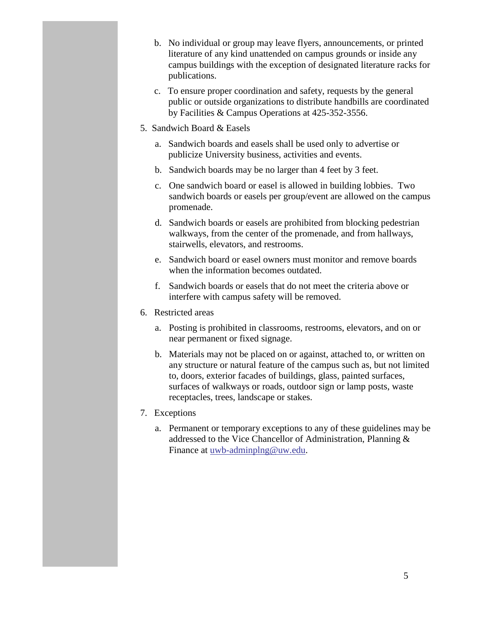- b. No individual or group may leave flyers, announcements, or printed literature of any kind unattended on campus grounds or inside any campus buildings with the exception of designated literature racks for publications.
- c. To ensure proper coordination and safety, requests by the general public or outside organizations to distribute handbills are coordinated by Facilities & Campus Operations at 425-352-3556.
- 5. Sandwich Board & Easels
	- a. Sandwich boards and easels shall be used only to advertise or publicize University business, activities and events.
	- b. Sandwich boards may be no larger than 4 feet by 3 feet.
	- c. One sandwich board or easel is allowed in building lobbies. Two sandwich boards or easels per group/event are allowed on the campus promenade.
	- d. Sandwich boards or easels are prohibited from blocking pedestrian walkways, from the center of the promenade, and from hallways, stairwells, elevators, and restrooms.
	- e. Sandwich board or easel owners must monitor and remove boards when the information becomes outdated.
	- f. Sandwich boards or easels that do not meet the criteria above or interfere with campus safety will be removed.
- 6. Restricted areas
	- a. Posting is prohibited in classrooms, restrooms, elevators, and on or near permanent or fixed signage.
	- b. Materials may not be placed on or against, attached to, or written on any structure or natural feature of the campus such as, but not limited to, doors, exterior facades of buildings, glass, painted surfaces, surfaces of walkways or roads, outdoor sign or lamp posts, waste receptacles, trees, landscape or stakes.
- 7. Exceptions
	- a. Permanent or temporary exceptions to any of these guidelines may be addressed to the Vice Chancellor of Administration, Planning & Finance at [uwb-adminplng@uw.edu.](mailto:uwb-adminplng@uw.edu)